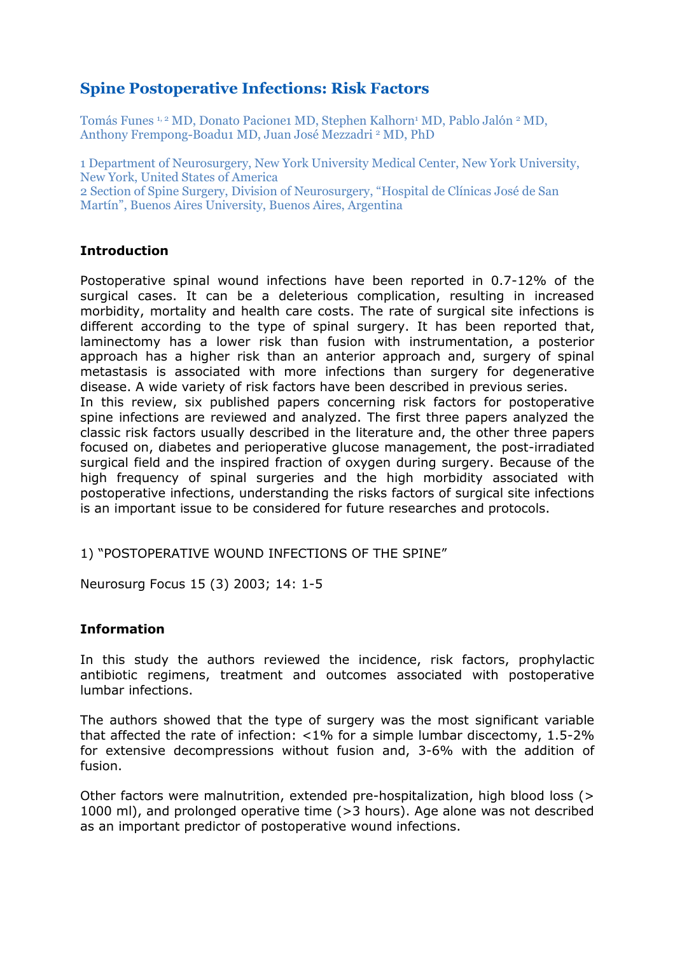# **Spine Postoperative Infections: Risk Factors**

Tomás Funes <sup>1, 2</sup> MD, Donato Pacione1 MD, Stephen Kalhorn<sup>1</sup> MD, Pablo Jalón <sup>2</sup> MD, Anthony Frempong-Boadu1 MD, Juan José Mezzadri <sup>2</sup> MD, PhD

1 Department of Neurosurgery, New York University Medical Center, New York University, New York, United States of America 2 Section of Spine Surgery, Division of Neurosurgery, "Hospital de Clínicas José de San Martín", Buenos Aires University, Buenos Aires, Argentina

## **Introduction**

Postoperative spinal wound infections have been reported in 0.7-12% of the surgical cases. It can be a deleterious complication, resulting in increased morbidity, mortality and health care costs. The rate of surgical site infections is different according to the type of spinal surgery. It has been reported that, laminectomy has a lower risk than fusion with instrumentation, a posterior approach has a higher risk than an anterior approach and, surgery of spinal metastasis is associated with more infections than surgery for degenerative disease. A wide variety of risk factors have been described in previous series. In this review, six published papers concerning risk factors for postoperative spine infections are reviewed and analyzed. The first three papers analyzed the classic risk factors usually described in the literature and, the other three papers focused on, diabetes and perioperative glucose management, the post-irradiated

surgical field and the inspired fraction of oxygen during surgery. Because of the high frequency of spinal surgeries and the high morbidity associated with postoperative infections, understanding the risks factors of surgical site infections is an important issue to be considered for future researches and protocols.

### 1) "POSTOPERATIVE WOUND INFECTIONS OF THE SPINE"

Neurosurg Focus 15 (3) 2003; 14: 1-5

### **Information**

In this study the authors reviewed the incidence, risk factors, prophylactic antibiotic regimens, treatment and outcomes associated with postoperative lumbar infections.

The authors showed that the type of surgery was the most significant variable that affected the rate of infection: <1% for a simple lumbar discectomy, 1.5-2% for extensive decompressions without fusion and, 3-6% with the addition of fusion.

Other factors were malnutrition, extended pre-hospitalization, high blood loss (> 1000 ml), and prolonged operative time (>3 hours). Age alone was not described as an important predictor of postoperative wound infections.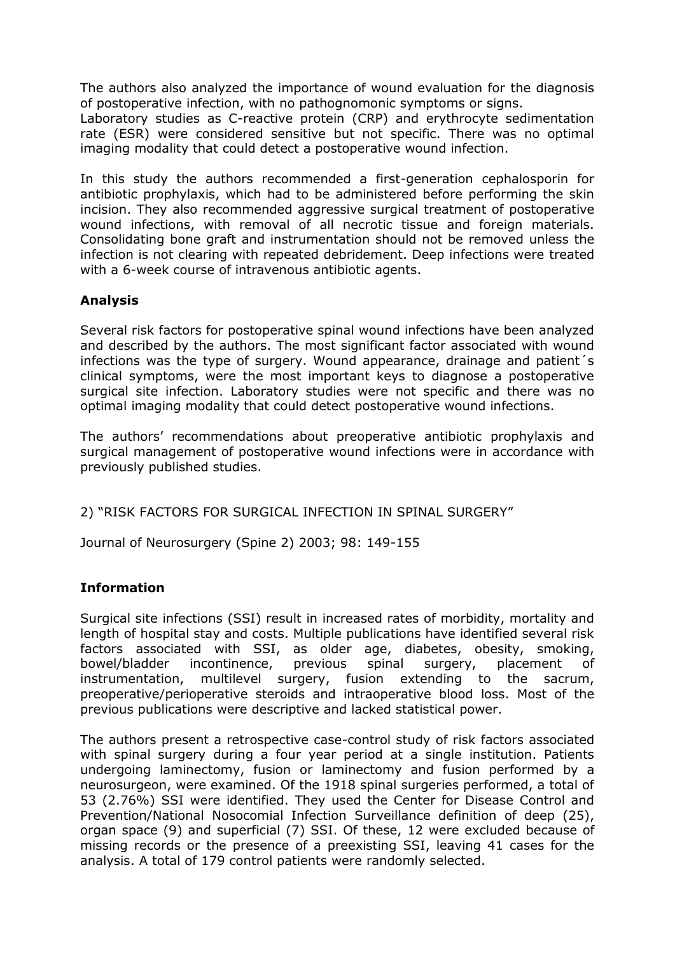The authors also analyzed the importance of wound evaluation for the diagnosis of postoperative infection, with no pathognomonic symptoms or signs.

Laboratory studies as C-reactive protein (CRP) and erythrocyte sedimentation rate (ESR) were considered sensitive but not specific. There was no optimal imaging modality that could detect a postoperative wound infection.

In this study the authors recommended a first-generation cephalosporin for antibiotic prophylaxis, which had to be administered before performing the skin incision. They also recommended aggressive surgical treatment of postoperative wound infections, with removal of all necrotic tissue and foreign materials. Consolidating bone graft and instrumentation should not be removed unless the infection is not clearing with repeated debridement. Deep infections were treated with a 6-week course of intravenous antibiotic agents.

## **Analysis**

Several risk factors for postoperative spinal wound infections have been analyzed and described by the authors. The most significant factor associated with wound infections was the type of surgery. Wound appearance, drainage and patient´s clinical symptoms, were the most important keys to diagnose a postoperative surgical site infection. Laboratory studies were not specific and there was no optimal imaging modality that could detect postoperative wound infections.

The authors' recommendations about preoperative antibiotic prophylaxis and surgical management of postoperative wound infections were in accordance with previously published studies.

### 2) "RISK FACTORS FOR SURGICAL INFECTION IN SPINAL SURGERY"

Journal of Neurosurgery (Spine 2) 2003; 98: 149-155

## **Information**

Surgical site infections (SSI) result in increased rates of morbidity, mortality and length of hospital stay and costs. Multiple publications have identified several risk factors associated with SSI, as older age, diabetes, obesity, smoking, bowel/bladder incontinence, previous spinal surgery, placement of instrumentation, multilevel surgery, fusion extending to the sacrum, preoperative/perioperative steroids and intraoperative blood loss. Most of the previous publications were descriptive and lacked statistical power.

The authors present a retrospective case-control study of risk factors associated with spinal surgery during a four year period at a single institution. Patients undergoing laminectomy, fusion or laminectomy and fusion performed by a neurosurgeon, were examined. Of the 1918 spinal surgeries performed, a total of 53 (2.76%) SSI were identified. They used the Center for Disease Control and Prevention/National Nosocomial Infection Surveillance definition of deep (25), organ space (9) and superficial (7) SSI. Of these, 12 were excluded because of missing records or the presence of a preexisting SSI, leaving 41 cases for the analysis. A total of 179 control patients were randomly selected.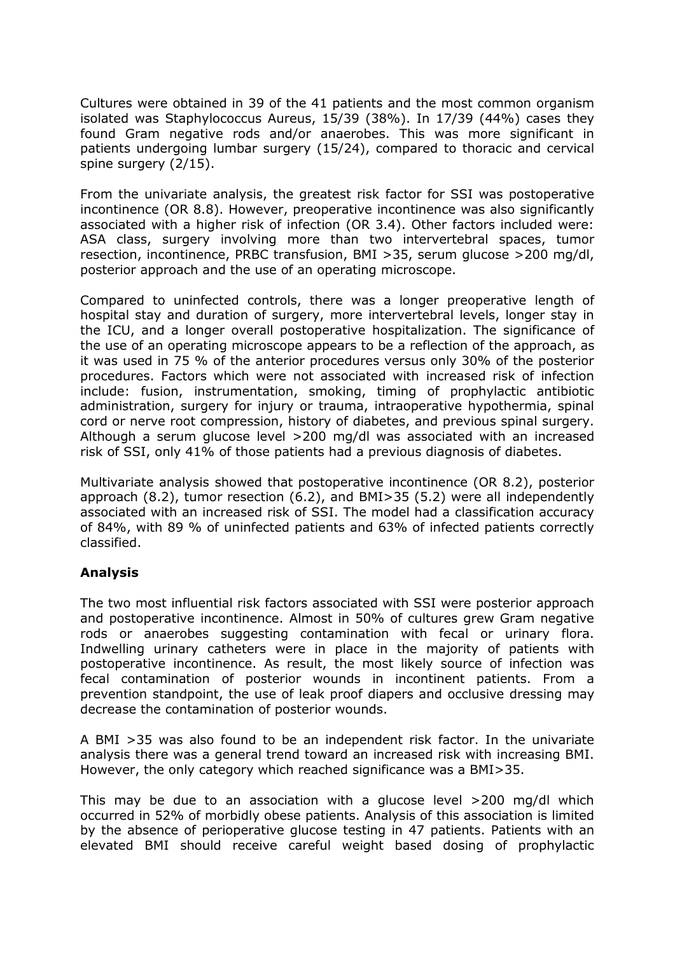Cultures were obtained in 39 of the 41 patients and the most common organism isolated was Staphylococcus Aureus, 15/39 (38%). In 17/39 (44%) cases they found Gram negative rods and/or anaerobes. This was more significant in patients undergoing lumbar surgery (15/24), compared to thoracic and cervical spine surgery (2/15).

From the univariate analysis, the greatest risk factor for SSI was postoperative incontinence (OR 8.8). However, preoperative incontinence was also significantly associated with a higher risk of infection (OR 3.4). Other factors included were: ASA class, surgery involving more than two intervertebral spaces, tumor resection, incontinence, PRBC transfusion, BMI >35, serum glucose >200 mg/dl, posterior approach and the use of an operating microscope.

Compared to uninfected controls, there was a longer preoperative length of hospital stay and duration of surgery, more intervertebral levels, longer stay in the ICU, and a longer overall postoperative hospitalization. The significance of the use of an operating microscope appears to be a reflection of the approach, as it was used in 75 % of the anterior procedures versus only 30% of the posterior procedures. Factors which were not associated with increased risk of infection include: fusion, instrumentation, smoking, timing of prophylactic antibiotic administration, surgery for injury or trauma, intraoperative hypothermia, spinal cord or nerve root compression, history of diabetes, and previous spinal surgery. Although a serum glucose level >200 mg/dl was associated with an increased risk of SSI, only 41% of those patients had a previous diagnosis of diabetes.

Multivariate analysis showed that postoperative incontinence (OR 8.2), posterior approach (8.2), tumor resection (6.2), and BMI>35 (5.2) were all independently associated with an increased risk of SSI. The model had a classification accuracy of 84%, with 89 % of uninfected patients and 63% of infected patients correctly classified.

## **Analysis**

The two most influential risk factors associated with SSI were posterior approach and postoperative incontinence. Almost in 50% of cultures grew Gram negative rods or anaerobes suggesting contamination with fecal or urinary flora. Indwelling urinary catheters were in place in the majority of patients with postoperative incontinence. As result, the most likely source of infection was fecal contamination of posterior wounds in incontinent patients. From a prevention standpoint, the use of leak proof diapers and occlusive dressing may decrease the contamination of posterior wounds.

A BMI >35 was also found to be an independent risk factor. In the univariate analysis there was a general trend toward an increased risk with increasing BMI. However, the only category which reached significance was a BMI>35.

This may be due to an association with a glucose level >200 mg/dl which occurred in 52% of morbidly obese patients. Analysis of this association is limited by the absence of perioperative glucose testing in 47 patients. Patients with an elevated BMI should receive careful weight based dosing of prophylactic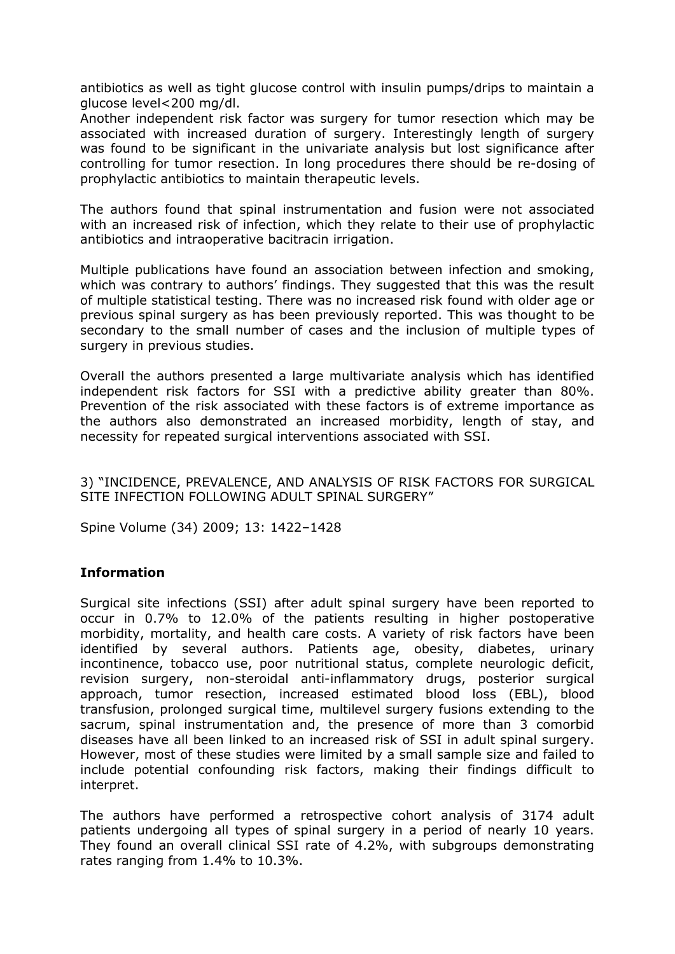antibiotics as well as tight glucose control with insulin pumps/drips to maintain a glucose level<200 mg/dl.

Another independent risk factor was surgery for tumor resection which may be associated with increased duration of surgery. Interestingly length of surgery was found to be significant in the univariate analysis but lost significance after controlling for tumor resection. In long procedures there should be re-dosing of prophylactic antibiotics to maintain therapeutic levels.

The authors found that spinal instrumentation and fusion were not associated with an increased risk of infection, which they relate to their use of prophylactic antibiotics and intraoperative bacitracin irrigation.

Multiple publications have found an association between infection and smoking, which was contrary to authors' findings. They suggested that this was the result of multiple statistical testing. There was no increased risk found with older age or previous spinal surgery as has been previously reported. This was thought to be secondary to the small number of cases and the inclusion of multiple types of surgery in previous studies.

Overall the authors presented a large multivariate analysis which has identified independent risk factors for SSI with a predictive ability greater than 80%. Prevention of the risk associated with these factors is of extreme importance as the authors also demonstrated an increased morbidity, length of stay, and necessity for repeated surgical interventions associated with SSI.

3) "INCIDENCE, PREVALENCE, AND ANALYSIS OF RISK FACTORS FOR SURGICAL SITE INFECTION FOLLOWING ADULT SPINAL SURGERY"

Spine Volume (34) 2009; 13: 1422–1428

### **Information**

Surgical site infections (SSI) after adult spinal surgery have been reported to occur in 0.7% to 12.0% of the patients resulting in higher postoperative morbidity, mortality, and health care costs. A variety of risk factors have been identified by several authors. Patients age, obesity, diabetes, urinary incontinence, tobacco use, poor nutritional status, complete neurologic deficit, revision surgery, non-steroidal anti-inflammatory drugs, posterior surgical approach, tumor resection, increased estimated blood loss (EBL), blood transfusion, prolonged surgical time, multilevel surgery fusions extending to the sacrum, spinal instrumentation and, the presence of more than 3 comorbid diseases have all been linked to an increased risk of SSI in adult spinal surgery. However, most of these studies were limited by a small sample size and failed to include potential confounding risk factors, making their findings difficult to interpret.

The authors have performed a retrospective cohort analysis of 3174 adult patients undergoing all types of spinal surgery in a period of nearly 10 years. They found an overall clinical SSI rate of 4.2%, with subgroups demonstrating rates ranging from 1.4% to 10.3%.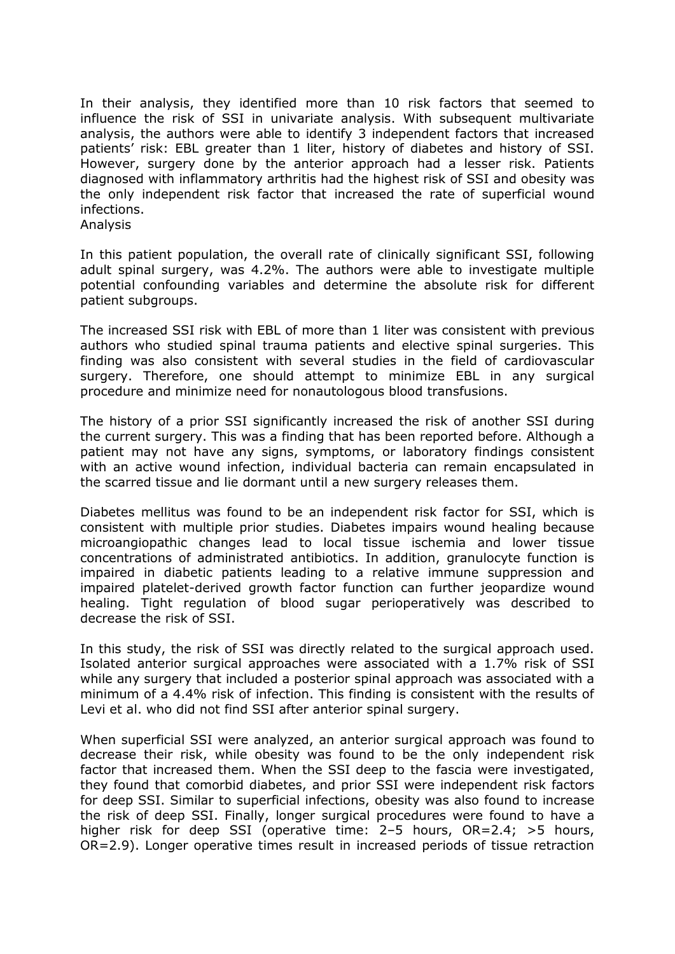In their analysis, they identified more than 10 risk factors that seemed to influence the risk of SSI in univariate analysis. With subsequent multivariate analysis, the authors were able to identify 3 independent factors that increased patients' risk: EBL greater than 1 liter, history of diabetes and history of SSI. However, surgery done by the anterior approach had a lesser risk. Patients diagnosed with inflammatory arthritis had the highest risk of SSI and obesity was the only independent risk factor that increased the rate of superficial wound infections.

#### Analysis

In this patient population, the overall rate of clinically significant SSI, following adult spinal surgery, was 4.2%. The authors were able to investigate multiple potential confounding variables and determine the absolute risk for different patient subgroups.

The increased SSI risk with EBL of more than 1 liter was consistent with previous authors who studied spinal trauma patients and elective spinal surgeries. This finding was also consistent with several studies in the field of cardiovascular surgery. Therefore, one should attempt to minimize EBL in any surgical procedure and minimize need for nonautologous blood transfusions.

The history of a prior SSI significantly increased the risk of another SSI during the current surgery. This was a finding that has been reported before. Although a patient may not have any signs, symptoms, or laboratory findings consistent with an active wound infection, individual bacteria can remain encapsulated in the scarred tissue and lie dormant until a new surgery releases them.

Diabetes mellitus was found to be an independent risk factor for SSI, which is consistent with multiple prior studies. Diabetes impairs wound healing because microangiopathic changes lead to local tissue ischemia and lower tissue concentrations of administrated antibiotics. In addition, granulocyte function is impaired in diabetic patients leading to a relative immune suppression and impaired platelet-derived growth factor function can further jeopardize wound healing. Tight regulation of blood sugar perioperatively was described to decrease the risk of SSI.

In this study, the risk of SSI was directly related to the surgical approach used. Isolated anterior surgical approaches were associated with a 1.7% risk of SSI while any surgery that included a posterior spinal approach was associated with a minimum of a 4.4% risk of infection. This finding is consistent with the results of Levi et al. who did not find SSI after anterior spinal surgery.

When superficial SSI were analyzed, an anterior surgical approach was found to decrease their risk, while obesity was found to be the only independent risk factor that increased them. When the SSI deep to the fascia were investigated, they found that comorbid diabetes, and prior SSI were independent risk factors for deep SSI. Similar to superficial infections, obesity was also found to increase the risk of deep SSI. Finally, longer surgical procedures were found to have a higher risk for deep SSI (operative time: 2-5 hours, OR=2.4; >5 hours, OR=2.9). Longer operative times result in increased periods of tissue retraction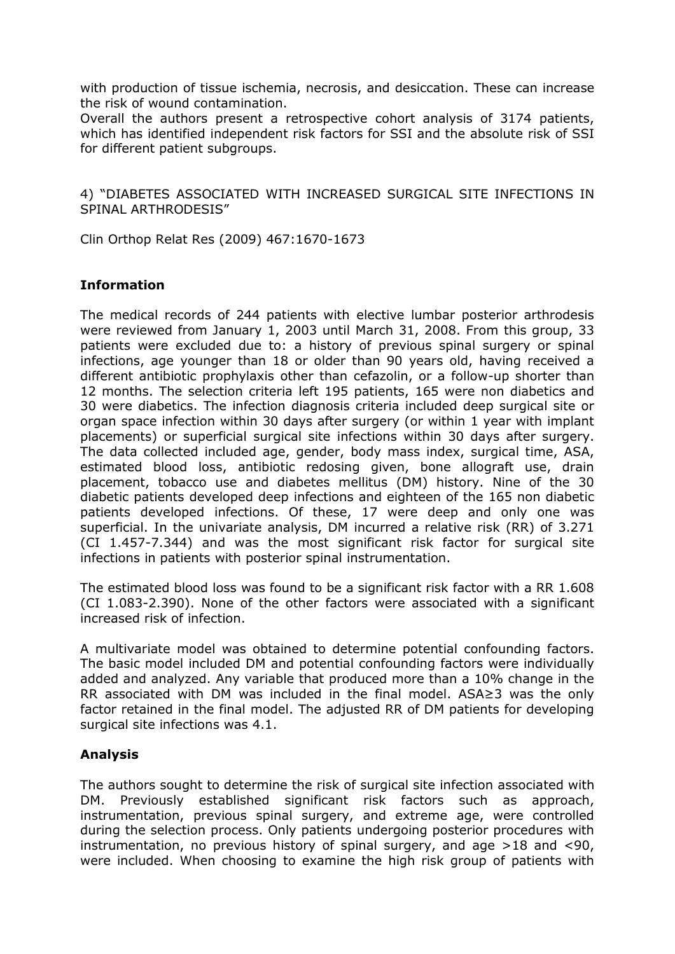with production of tissue ischemia, necrosis, and desiccation. These can increase the risk of wound contamination.

Overall the authors present a retrospective cohort analysis of 3174 patients, which has identified independent risk factors for SSI and the absolute risk of SSI for different patient subgroups.

4) "DIABETES ASSOCIATED WITH INCREASED SURGICAL SITE INFECTIONS IN SPINAL ARTHRODESIS"

Clin Orthop Relat Res (2009) 467:1670-1673

### **Information**

The medical records of 244 patients with elective lumbar posterior arthrodesis were reviewed from January 1, 2003 until March 31, 2008. From this group, 33 patients were excluded due to: a history of previous spinal surgery or spinal infections, age younger than 18 or older than 90 years old, having received a different antibiotic prophylaxis other than cefazolin, or a follow-up shorter than 12 months. The selection criteria left 195 patients, 165 were non diabetics and 30 were diabetics. The infection diagnosis criteria included deep surgical site or organ space infection within 30 days after surgery (or within 1 year with implant placements) or superficial surgical site infections within 30 days after surgery. The data collected included age, gender, body mass index, surgical time, ASA, estimated blood loss, antibiotic redosing given, bone allograft use, drain placement, tobacco use and diabetes mellitus (DM) history. Nine of the 30 diabetic patients developed deep infections and eighteen of the 165 non diabetic patients developed infections. Of these, 17 were deep and only one was superficial. In the univariate analysis, DM incurred a relative risk (RR) of 3.271 (CI 1.457-7.344) and was the most significant risk factor for surgical site infections in patients with posterior spinal instrumentation.

The estimated blood loss was found to be a significant risk factor with a RR 1.608 (CI 1.083-2.390). None of the other factors were associated with a significant increased risk of infection.

A multivariate model was obtained to determine potential confounding factors. The basic model included DM and potential confounding factors were individually added and analyzed. Any variable that produced more than a 10% change in the RR associated with DM was included in the final model. ASA≥3 was the only factor retained in the final model. The adjusted RR of DM patients for developing surgical site infections was 4.1.

### **Analysis**

The authors sought to determine the risk of surgical site infection associated with DM. Previously established significant risk factors such as approach, instrumentation, previous spinal surgery, and extreme age, were controlled during the selection process. Only patients undergoing posterior procedures with instrumentation, no previous history of spinal surgery, and age >18 and <90, were included. When choosing to examine the high risk group of patients with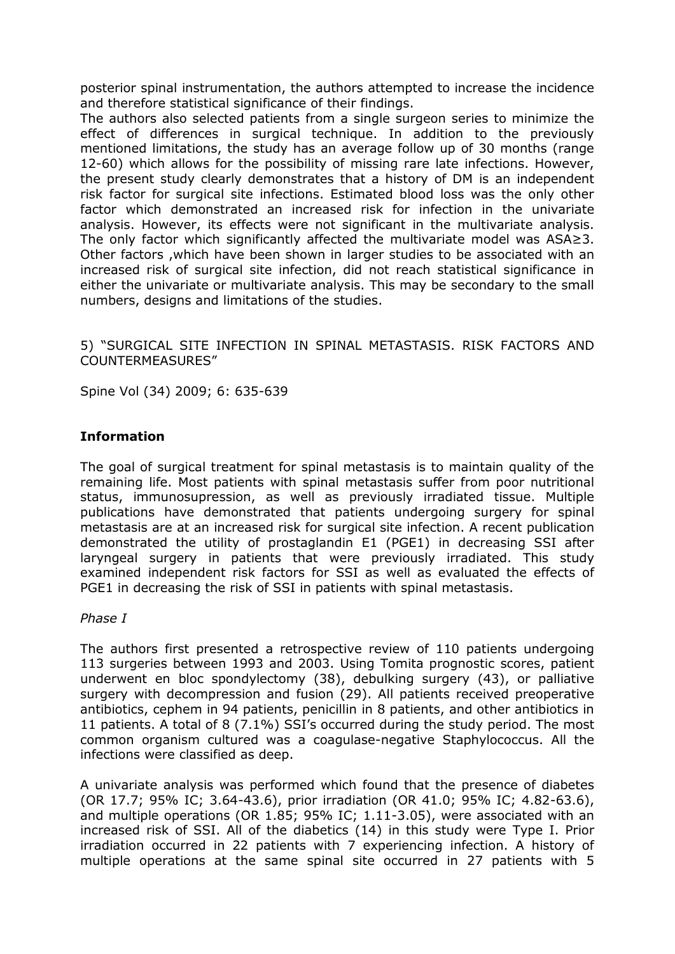posterior spinal instrumentation, the authors attempted to increase the incidence and therefore statistical significance of their findings.

The authors also selected patients from a single surgeon series to minimize the effect of differences in surgical technique. In addition to the previously mentioned limitations, the study has an average follow up of 30 months (range 12-60) which allows for the possibility of missing rare late infections. However, the present study clearly demonstrates that a history of DM is an independent risk factor for surgical site infections. Estimated blood loss was the only other factor which demonstrated an increased risk for infection in the univariate analysis. However, its effects were not significant in the multivariate analysis. The only factor which significantly affected the multivariate model was ASA≥3. Other factors ,which have been shown in larger studies to be associated with an increased risk of surgical site infection, did not reach statistical significance in either the univariate or multivariate analysis. This may be secondary to the small numbers, designs and limitations of the studies.

5) "SURGICAL SITE INFECTION IN SPINAL METASTASIS. RISK FACTORS AND COUNTERMEASURES"

Spine Vol (34) 2009; 6: 635-639

### **Information**

The goal of surgical treatment for spinal metastasis is to maintain quality of the remaining life. Most patients with spinal metastasis suffer from poor nutritional status, immunosupression, as well as previously irradiated tissue. Multiple publications have demonstrated that patients undergoing surgery for spinal metastasis are at an increased risk for surgical site infection. A recent publication demonstrated the utility of prostaglandin E1 (PGE1) in decreasing SSI after laryngeal surgery in patients that were previously irradiated. This study examined independent risk factors for SSI as well as evaluated the effects of PGE1 in decreasing the risk of SSI in patients with spinal metastasis.

#### *Phase I*

The authors first presented a retrospective review of 110 patients undergoing 113 surgeries between 1993 and 2003. Using Tomita prognostic scores, patient underwent en bloc spondylectomy (38), debulking surgery (43), or palliative surgery with decompression and fusion (29). All patients received preoperative antibiotics, cephem in 94 patients, penicillin in 8 patients, and other antibiotics in 11 patients. A total of 8 (7.1%) SSI's occurred during the study period. The most common organism cultured was a coagulase-negative Staphylococcus. All the infections were classified as deep.

A univariate analysis was performed which found that the presence of diabetes (OR 17.7; 95% IC; 3.64-43.6), prior irradiation (OR 41.0; 95% IC; 4.82-63.6), and multiple operations (OR 1.85; 95% IC; 1.11-3.05), were associated with an increased risk of SSI. All of the diabetics (14) in this study were Type I. Prior irradiation occurred in 22 patients with 7 experiencing infection. A history of multiple operations at the same spinal site occurred in 27 patients with 5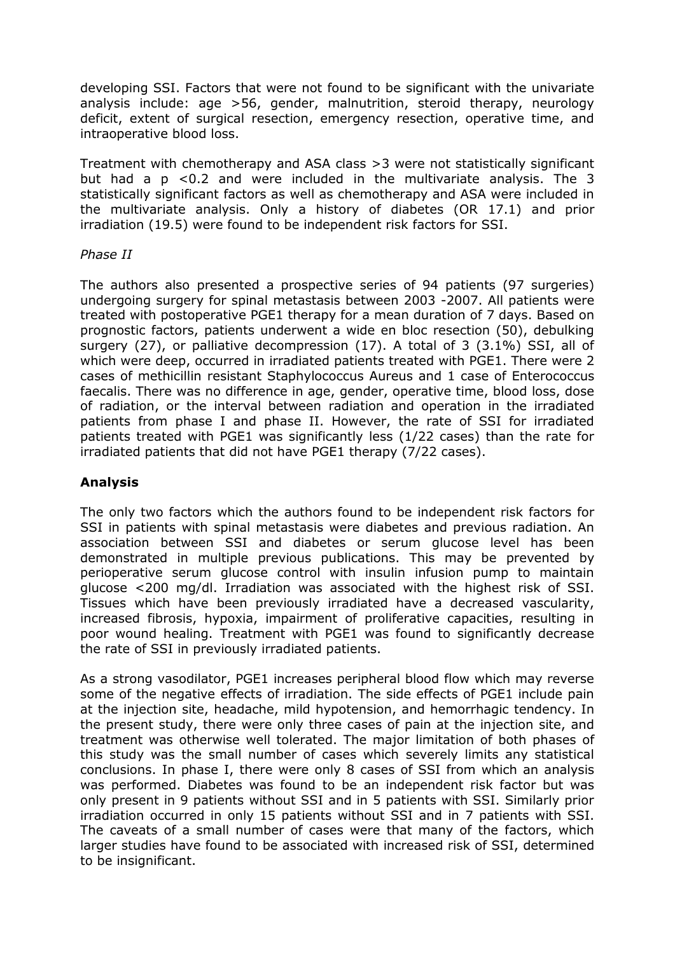developing SSI. Factors that were not found to be significant with the univariate analysis include: age >56, gender, malnutrition, steroid therapy, neurology deficit, extent of surgical resection, emergency resection, operative time, and intraoperative blood loss.

Treatment with chemotherapy and ASA class >3 were not statistically significant but had a p <0.2 and were included in the multivariate analysis. The 3 statistically significant factors as well as chemotherapy and ASA were included in the multivariate analysis. Only a history of diabetes (OR 17.1) and prior irradiation (19.5) were found to be independent risk factors for SSI.

### *Phase II*

The authors also presented a prospective series of 94 patients (97 surgeries) undergoing surgery for spinal metastasis between 2003 -2007. All patients were treated with postoperative PGE1 therapy for a mean duration of 7 days. Based on prognostic factors, patients underwent a wide en bloc resection (50), debulking surgery (27), or palliative decompression (17). A total of 3 (3.1%) SSI, all of which were deep, occurred in irradiated patients treated with PGE1. There were 2 cases of methicillin resistant Staphylococcus Aureus and 1 case of Enterococcus faecalis. There was no difference in age, gender, operative time, blood loss, dose of radiation, or the interval between radiation and operation in the irradiated patients from phase I and phase II. However, the rate of SSI for irradiated patients treated with PGE1 was significantly less (1/22 cases) than the rate for irradiated patients that did not have PGE1 therapy (7/22 cases).

### **Analysis**

The only two factors which the authors found to be independent risk factors for SSI in patients with spinal metastasis were diabetes and previous radiation. An association between SSI and diabetes or serum glucose level has been demonstrated in multiple previous publications. This may be prevented by perioperative serum glucose control with insulin infusion pump to maintain glucose <200 mg/dl. Irradiation was associated with the highest risk of SSI. Tissues which have been previously irradiated have a decreased vascularity, increased fibrosis, hypoxia, impairment of proliferative capacities, resulting in poor wound healing. Treatment with PGE1 was found to significantly decrease the rate of SSI in previously irradiated patients.

As a strong vasodilator, PGE1 increases peripheral blood flow which may reverse some of the negative effects of irradiation. The side effects of PGE1 include pain at the injection site, headache, mild hypotension, and hemorrhagic tendency. In the present study, there were only three cases of pain at the injection site, and treatment was otherwise well tolerated. The major limitation of both phases of this study was the small number of cases which severely limits any statistical conclusions. In phase I, there were only 8 cases of SSI from which an analysis was performed. Diabetes was found to be an independent risk factor but was only present in 9 patients without SSI and in 5 patients with SSI. Similarly prior irradiation occurred in only 15 patients without SSI and in 7 patients with SSI. The caveats of a small number of cases were that many of the factors, which larger studies have found to be associated with increased risk of SSI, determined to be insignificant.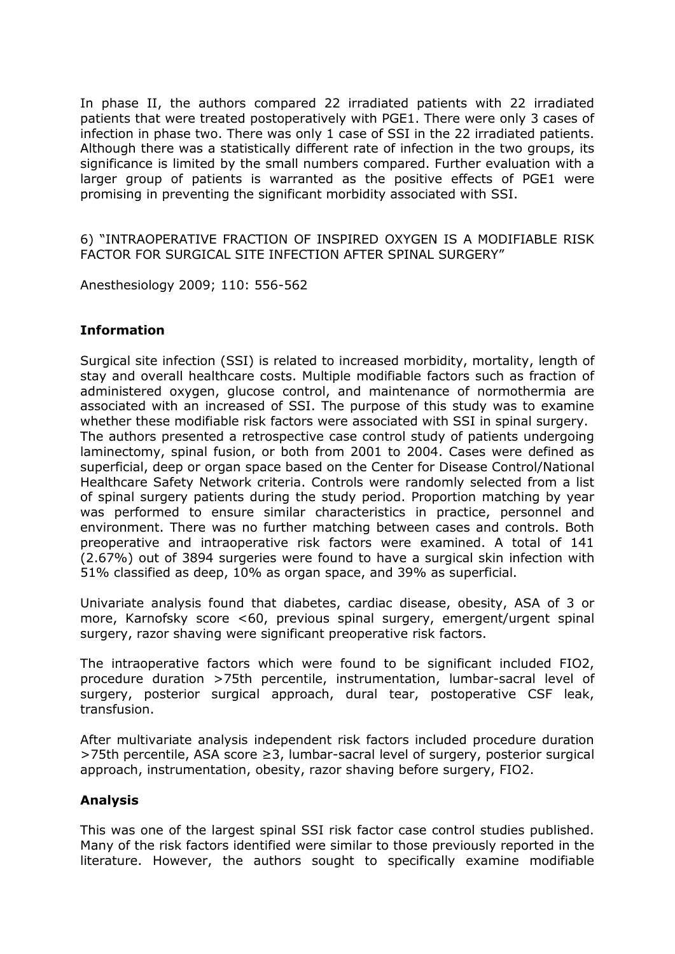In phase II, the authors compared 22 irradiated patients with 22 irradiated patients that were treated postoperatively with PGE1. There were only 3 cases of infection in phase two. There was only 1 case of SSI in the 22 irradiated patients. Although there was a statistically different rate of infection in the two groups, its significance is limited by the small numbers compared. Further evaluation with a larger group of patients is warranted as the positive effects of PGE1 were promising in preventing the significant morbidity associated with SSI.

6) "INTRAOPERATIVE FRACTION OF INSPIRED OXYGEN IS A MODIFIABLE RISK FACTOR FOR SURGICAL SITE INFECTION AFTER SPINAL SURGERY"

Anesthesiology 2009; 110: 556-562

#### **Information**

Surgical site infection (SSI) is related to increased morbidity, mortality, length of stay and overall healthcare costs. Multiple modifiable factors such as fraction of administered oxygen, glucose control, and maintenance of normothermia are associated with an increased of SSI. The purpose of this study was to examine whether these modifiable risk factors were associated with SSI in spinal surgery. The authors presented a retrospective case control study of patients undergoing laminectomy, spinal fusion, or both from 2001 to 2004. Cases were defined as superficial, deep or organ space based on the Center for Disease Control/National Healthcare Safety Network criteria. Controls were randomly selected from a list of spinal surgery patients during the study period. Proportion matching by year was performed to ensure similar characteristics in practice, personnel and environment. There was no further matching between cases and controls. Both preoperative and intraoperative risk factors were examined. A total of 141 (2.67%) out of 3894 surgeries were found to have a surgical skin infection with 51% classified as deep, 10% as organ space, and 39% as superficial.

Univariate analysis found that diabetes, cardiac disease, obesity, ASA of 3 or more, Karnofsky score <60, previous spinal surgery, emergent/urgent spinal surgery, razor shaving were significant preoperative risk factors.

The intraoperative factors which were found to be significant included FIO2, procedure duration >75th percentile, instrumentation, lumbar-sacral level of surgery, posterior surgical approach, dural tear, postoperative CSF leak, transfusion.

After multivariate analysis independent risk factors included procedure duration >75th percentile, ASA score ≥3, lumbar-sacral level of surgery, posterior surgical approach, instrumentation, obesity, razor shaving before surgery, FIO2.

### **Analysis**

This was one of the largest spinal SSI risk factor case control studies published. Many of the risk factors identified were similar to those previously reported in the literature. However, the authors sought to specifically examine modifiable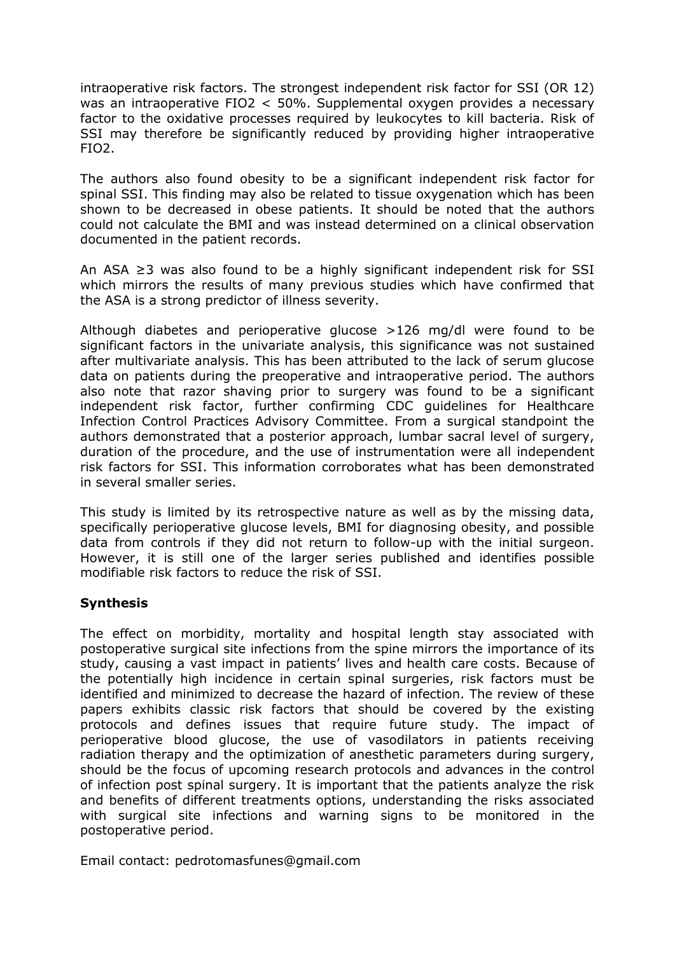intraoperative risk factors. The strongest independent risk factor for SSI (OR 12) was an intraoperative FIO2 < 50%. Supplemental oxygen provides a necessary factor to the oxidative processes required by leukocytes to kill bacteria. Risk of SSI may therefore be significantly reduced by providing higher intraoperative FIO2.

The authors also found obesity to be a significant independent risk factor for spinal SSI. This finding may also be related to tissue oxygenation which has been shown to be decreased in obese patients. It should be noted that the authors could not calculate the BMI and was instead determined on a clinical observation documented in the patient records.

An ASA ≥3 was also found to be a highly significant independent risk for SSI which mirrors the results of many previous studies which have confirmed that the ASA is a strong predictor of illness severity.

Although diabetes and perioperative glucose >126 mg/dl were found to be significant factors in the univariate analysis, this significance was not sustained after multivariate analysis. This has been attributed to the lack of serum glucose data on patients during the preoperative and intraoperative period. The authors also note that razor shaving prior to surgery was found to be a significant independent risk factor, further confirming CDC guidelines for Healthcare Infection Control Practices Advisory Committee. From a surgical standpoint the authors demonstrated that a posterior approach, lumbar sacral level of surgery, duration of the procedure, and the use of instrumentation were all independent risk factors for SSI. This information corroborates what has been demonstrated in several smaller series.

This study is limited by its retrospective nature as well as by the missing data, specifically perioperative glucose levels, BMI for diagnosing obesity, and possible data from controls if they did not return to follow-up with the initial surgeon. However, it is still one of the larger series published and identifies possible modifiable risk factors to reduce the risk of SSI.

### **Synthesis**

The effect on morbidity, mortality and hospital length stay associated with postoperative surgical site infections from the spine mirrors the importance of its study, causing a vast impact in patients' lives and health care costs. Because of the potentially high incidence in certain spinal surgeries, risk factors must be identified and minimized to decrease the hazard of infection. The review of these papers exhibits classic risk factors that should be covered by the existing protocols and defines issues that require future study. The impact of perioperative blood glucose, the use of vasodilators in patients receiving radiation therapy and the optimization of anesthetic parameters during surgery, should be the focus of upcoming research protocols and advances in the control of infection post spinal surgery. It is important that the patients analyze the risk and benefits of different treatments options, understanding the risks associated with surgical site infections and warning signs to be monitored in the postoperative period.

Email contact: pedrotomasfunes@gmail.com